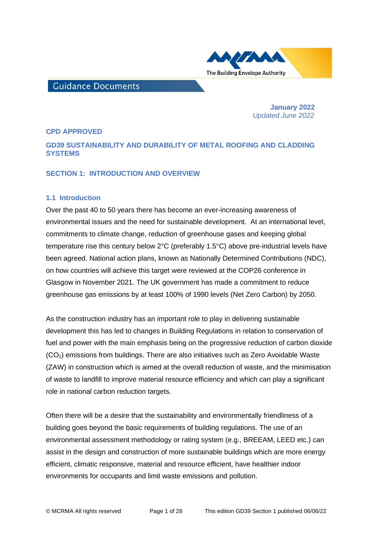

# **Guidance Documents**

 **January 2022**   *Updated June 2022*

#### **CPD APPROVED**

# **GD39 SUSTAINABILITY AND DURABILITY OF METAL ROOFING AND CLADDING SYSTEMS**

#### **SECTION 1: INTRODUCTION AND OVERVIEW**

#### **1.1 Introduction**

Over the past 40 to 50 years there has become an ever-increasing awareness of environmental issues and the need for sustainable development. At an international level, commitments to climate change, reduction of greenhouse gases and keeping global temperature rise this century below 2°C (preferably 1.5°C) above pre-industrial levels have been agreed. National action plans, known as Nationally Determined Contributions (NDC), on how countries will achieve this target were reviewed at the COP26 conference in Glasgow in November 2021. The UK government has made a commitment to reduce greenhouse gas emissions by at least 100% of 1990 levels (Net Zero Carbon) by 2050.

As the construction industry has an important role to play in delivering sustainable development this has led to changes in Building Regulations in relation to conservation of fuel and power with the main emphasis being on the progressive reduction of carbon dioxide (CO2) emissions from buildings. There are also initiatives such as Zero Avoidable Waste (ZAW) in construction which is aimed at the overall reduction of waste, and the minimisation of waste to landfill to improve material resource efficiency and which can play a significant role in national carbon reduction targets.

Often there will be a desire that the sustainability and environmentally friendliness of a building goes beyond the basic requirements of building regulations. The use of an environmental assessment methodology or rating system (e.g., BREEAM, LEED etc.) can assist in the design and construction of more sustainable buildings which are more energy efficient, climatic responsive, material and resource efficient, have healthier indoor environments for occupants and limit waste emissions and pollution.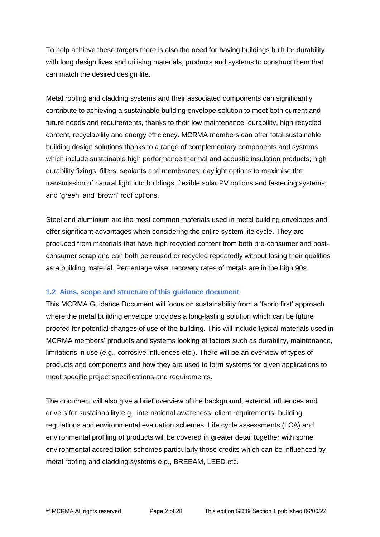To help achieve these targets there is also the need for having buildings built for durability with long design lives and utilising materials, products and systems to construct them that can match the desired design life.

Metal roofing and cladding systems and their associated components can significantly contribute to achieving a sustainable building envelope solution to meet both current and future needs and requirements, thanks to their low maintenance, durability, high recycled content, recyclability and energy efficiency. MCRMA members can offer total sustainable building design solutions thanks to a range of complementary components and systems which include sustainable high performance thermal and acoustic insulation products; high durability fixings, fillers, sealants and membranes; daylight options to maximise the transmission of natural light into buildings; flexible solar PV options and fastening systems; and 'green' and 'brown' roof options.

Steel and aluminium are the most common materials used in metal building envelopes and offer significant advantages when considering the entire system life cycle. They are produced from materials that have high recycled content from both pre-consumer and postconsumer scrap and can both be reused or recycled repeatedly without losing their qualities as a building material. Percentage wise, recovery rates of metals are in the high 90s.

# **1.2 Aims, scope and structure of this guidance document**

This MCRMA Guidance Document will focus on sustainability from a 'fabric first' approach where the metal building envelope provides a long-lasting solution which can be future proofed for potential changes of use of the building. This will include typical materials used in MCRMA members' products and systems looking at factors such as durability, maintenance, limitations in use (e.g., corrosive influences etc.). There will be an overview of types of products and components and how they are used to form systems for given applications to meet specific project specifications and requirements.

The document will also give a brief overview of the background, external influences and drivers for sustainability e.g., international awareness, client requirements, building regulations and environmental evaluation schemes. Life cycle assessments (LCA) and environmental profiling of products will be covered in greater detail together with some environmental accreditation schemes particularly those credits which can be influenced by metal roofing and cladding systems e.g., BREEAM, LEED etc.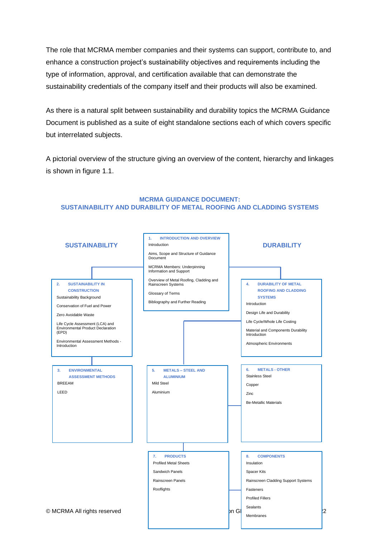The role that MCRMA member companies and their systems can support, contribute to, and enhance a construction project's sustainability objectives and requirements including the type of information, approval, and certification available that can demonstrate the sustainability credentials of the company itself and their products will also be examined.

As there is a natural split between sustainability and durability topics the MCRMA Guidance Document is published as a suite of eight standalone sections each of which covers specific but interrelated subjects.

A pictorial overview of the structure giving an overview of the content, hierarchy and linkages is shown in figure 1.1.

#### $\circ$  MCRMA All rights reserved  $\qquad$   $\qquad$   $\qquad$   $\qquad$   $\qquad$   $\qquad$   $\qquad$   $\qquad$   $\qquad$   $\qquad$   $\qquad$   $\qquad$   $\qquad$   $\qquad$   $\qquad$   $\qquad$   $\qquad$   $\qquad$   $\qquad$   $\qquad$   $\qquad$   $\qquad$   $\qquad$   $\qquad$   $\qquad$   $\qquad$   $\qquad$   $\qquad$   $\qquad$   $\qquad$   $\qquad$   $\qquad$ **1. INTRODUCTION AND OVERVIEW** Introduction Aims, Scope and Structure of Guidance Document MCRMA Members: Underpinning Information and Support Overview of Metal Roofing, Cladding and Rainscreen Systems Glossary of Terms Bibliography and Further Reading **2. SUSTAINABILITY IN CONSTRUCTION** Sustainability Background Conservation of Fuel and Power Zero Avoidable Waste Life Cycle Assessment (LCA) and Environmental Product Declaration (EPD) Environmental Assessment Methods - Introduction **3. ENVIRONMENTAL ASSESSMENT METHODS** BREEAM LEED **4. DURABILITY OF METAL ROOFING AND CLADDING SYSTEMS Introduction** Design Life and Durability Life Cycle/Whole Life Costing Material and Components Durability Introduction Atmospheric Environments **5. METALS – STEEL AND ALUMINIUM** Mild Steel Aluminium **6. METALS - OTHER** Stainless Steel Copper Zinc Be-Metallic Materials **7. PRODUCTS** Profiled Metal Sheets Sandwich Panels Rainscreen Panels Rooflights **8. COMPONENTS** Insulation Spacer Kits Rainscreen Cladding Support Systems Fasteners Profiled Fillers Sealants Membranes **SUSTAINABILITY DURABILITY DURABILITY**

#### **MCRMA GUIDANCE DOCUMENT: SUSTAINABILITY AND DURABILITY OF METAL ROOFING AND CLADDING SYSTEMS**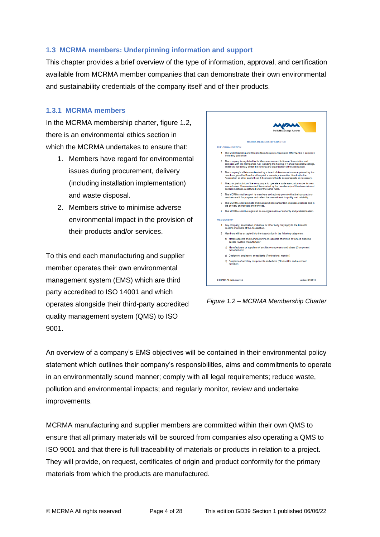# **1.3 MCRMA members: Underpinning information and support**

This chapter provides a brief overview of the type of information, approval, and certification available from MCRMA member companies that can demonstrate their own environmental and sustainability credentials of the company itself and of their products.

# **1.3.1 MCRMA members**

In the MCRMA membership charter, figure 1.2, there is an environmental ethics section in which the MCRMA undertakes to ensure that:

- 1. Members have regard for environmental issues during procurement, delivery (including installation implementation) and waste disposal.
- 2. Members strive to minimise adverse environmental impact in the provision of their products and/or services.

To this end each manufacturing and supplier member operates their own environmental management system (EMS) which are third party accredited to ISO 14001 and which operates alongside their third-party accredited quality management system (QMS) to ISO 9001.



*Figure 1.2 – MCRMA Membership Charter*

An overview of a company's EMS objectives will be contained in their environmental policy statement which outlines their company's responsibilities, aims and commitments to operate in an environmentally sound manner; comply with all legal requirements; reduce waste, pollution and environmental impacts; and regularly monitor, review and undertake improvements.

MCRMA manufacturing and supplier members are committed within their own QMS to ensure that all primary materials will be sourced from companies also operating a QMS to ISO 9001 and that there is full traceability of materials or products in relation to a project. They will provide, on request, certificates of origin and product conformity for the primary materials from which the products are manufactured.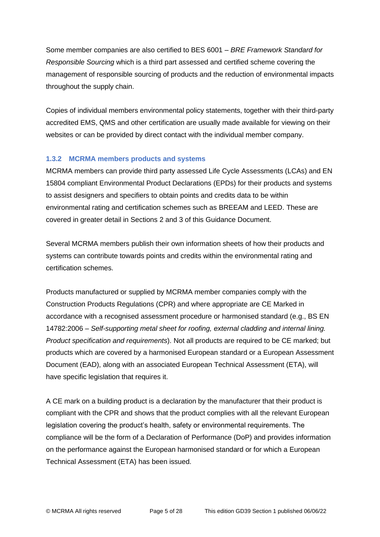Some member companies are also certified to BES 6001 – *BRE Framework Standard for Responsible Sourcing* which is a third part assessed and certified scheme covering the management of responsible sourcing of products and the reduction of environmental impacts throughout the supply chain.

Copies of individual members environmental policy statements, together with their third-party accredited EMS, QMS and other certification are usually made available for viewing on their websites or can be provided by direct contact with the individual member company.

# **1.3.2 MCRMA members products and systems**

MCRMA members can provide third party assessed Life Cycle Assessments (LCAs) and EN 15804 compliant Environmental Product Declarations (EPDs) for their products and systems to assist designers and specifiers to obtain points and credits data to be within environmental rating and certification schemes such as BREEAM and LEED. These are covered in greater detail in Sections 2 and 3 of this Guidance Document.

Several MCRMA members publish their own information sheets of how their products and systems can contribute towards points and credits within the environmental rating and certification schemes.

Products manufactured or supplied by MCRMA member companies comply with the Construction Products Regulations (CPR) and where appropriate are CE Marked in accordance with a recognised assessment procedure or harmonised standard (e.g., BS EN 14782:2006 – *Self-supporting metal sheet for roofing, external cladding and internal lining. Product specification and requirements*). Not all products are required to be CE marked; but products which are covered by a harmonised European standard or a European Assessment Document (EAD), along with an associated European Technical Assessment (ETA), will have specific legislation that requires it.

A CE mark on a building product is a declaration by the manufacturer that their product is compliant with the CPR and shows that the product complies with all the relevant European legislation covering the product's health, safety or environmental requirements. The compliance will be the form of a Declaration of Performance (DoP) and provides information on the performance against the European harmonised standard or for which a European Technical Assessment (ETA) has been issued.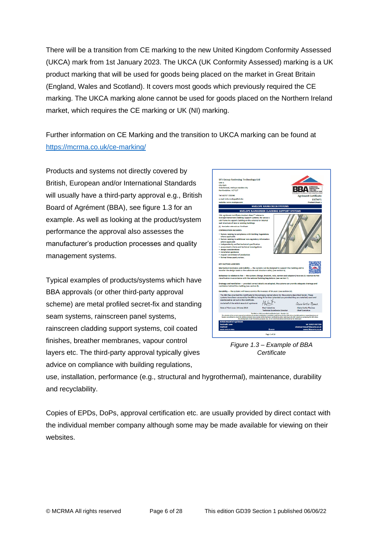There will be a transition from CE marking to the new United Kingdom Conformity Assessed (UKCA) mark from 1st January 2023. The UKCA (UK Conformity Assessed) marking is a UK product marking that will be used for goods being placed on the market in Great Britain (England, Wales and Scotland). It covers most goods which previously required the CE marking. The UKCA marking alone cannot be used for goods placed on the Northern Ireland market, which requires the CE marking or UK (NI) marking.

Further information on CE Marking and the transition to UKCA marking can be found at <https://mcrma.co.uk/ce-marking/>

Products and systems not directly covered by British, European and/or International Standards will usually have a third-party approval e.g., British Board of Agrément (BBA), see figure 1.3 for an example. As well as looking at the product/system performance the approval also assesses the manufacturer's production processes and quality management systems.

Typical examples of products/systems which have BBA approvals (or other third-party approval scheme) are metal profiled secret-fix and standing seam systems, rainscreen panel systems, rainscreen cladding support systems, coil coated finishes, breather membranes, vapour control layers etc. The third-party approval typically gives advice on compliance with building regulations,



*Figure 1.3 – Example of BBA Certificate*

use, installation, performance (e.g., structural and hygrothermal), maintenance, durability and recyclability.

Copies of EPDs, DoPs, approval certification etc. are usually provided by direct contact with the individual member company although some may be made available for viewing on their websites.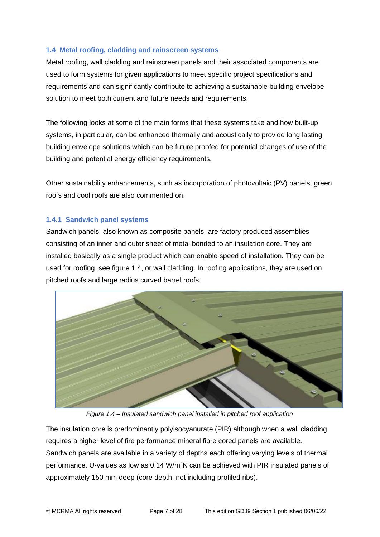# **1.4 Metal roofing, cladding and rainscreen systems**

Metal roofing, wall cladding and rainscreen panels and their associated components are used to form systems for given applications to meet specific project specifications and requirements and can significantly contribute to achieving a sustainable building envelope solution to meet both current and future needs and requirements.

The following looks at some of the main forms that these systems take and how built-up systems, in particular, can be enhanced thermally and acoustically to provide long lasting building envelope solutions which can be future proofed for potential changes of use of the building and potential energy efficiency requirements.

Other sustainability enhancements, such as incorporation of photovoltaic (PV) panels, green roofs and cool roofs are also commented on.

# **1.4.1 Sandwich panel systems**

Sandwich panels, also known as composite panels, are factory produced assemblies consisting of an inner and outer sheet of metal bonded to an insulation core. They are installed basically as a single product which can enable speed of installation. They can be used for roofing, see figure 1.4, or wall cladding. In roofing applications, they are used on pitched roofs and large radius curved barrel roofs.



*Figure 1.4 – Insulated sandwich panel installed in pitched roof application*

The insulation core is predominantly polyisocyanurate (PIR) although when a wall cladding requires a higher level of fire performance mineral fibre cored panels are available. Sandwich panels are available in a variety of depths each offering varying levels of thermal performance. U-values as low as 0.14 W/m<sup>2</sup>K can be achieved with PIR insulated panels of approximately 150 mm deep (core depth, not including profiled ribs).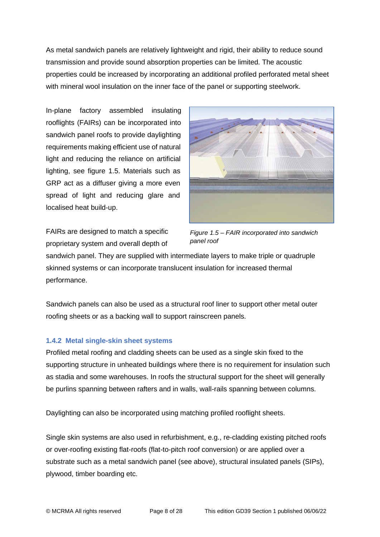As metal sandwich panels are relatively lightweight and rigid, their ability to reduce sound transmission and provide sound absorption properties can be limited. The acoustic properties could be increased by incorporating an additional profiled perforated metal sheet with mineral wool insulation on the inner face of the panel or supporting steelwork.

In-plane factory assembled insulating rooflights (FAIRs) can be incorporated into sandwich panel roofs to provide daylighting requirements making efficient use of natural light and reducing the reliance on artificial lighting, see figure 1.5. Materials such as GRP act as a diffuser giving a more even spread of light and reducing glare and localised heat build-up.

FAIRs are designed to match a specific proprietary system and overall depth of



*Figure 1.5 – FAIR incorporated into sandwich panel roof* 

sandwich panel. They are supplied with intermediate layers to make triple or quadruple skinned systems or can incorporate translucent insulation for increased thermal performance.

Sandwich panels can also be used as a structural roof liner to support other metal outer roofing sheets or as a backing wall to support rainscreen panels.

# **1.4.2 Metal single-skin sheet systems**

Profiled metal roofing and cladding sheets can be used as a single skin fixed to the supporting structure in unheated buildings where there is no requirement for insulation such as stadia and some warehouses. In roofs the structural support for the sheet will generally be purlins spanning between rafters and in walls, wall-rails spanning between columns.

Daylighting can also be incorporated using matching profiled rooflight sheets.

Single skin systems are also used in refurbishment, e.g., re-cladding existing pitched roofs or over-roofing existing flat-roofs (flat-to-pitch roof conversion) or are applied over a substrate such as a metal sandwich panel (see above), structural insulated panels (SIPs), plywood, timber boarding etc.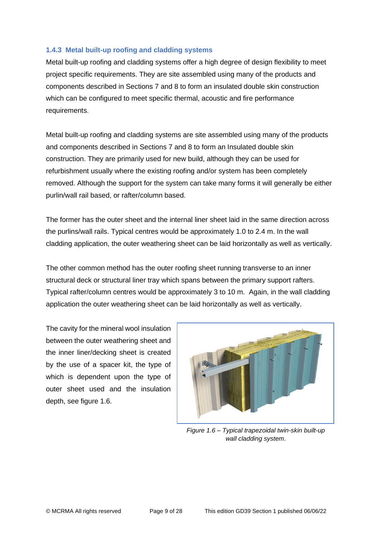# **1.4.3 Metal built-up roofing and cladding systems**

Metal built-up roofing and cladding systems offer a high degree of design flexibility to meet project specific requirements. They are site assembled using many of the products and components described in Sections 7 and 8 to form an insulated double skin construction which can be configured to meet specific thermal, acoustic and fire performance requirements.

Metal built-up roofing and cladding systems are site assembled using many of the products and components described in Sections 7 and 8 to form an Insulated double skin construction. They are primarily used for new build, although they can be used for refurbishment usually where the existing roofing and/or system has been completely removed. Although the support for the system can take many forms it will generally be either purlin/wall rail based, or rafter/column based.

The former has the outer sheet and the internal liner sheet laid in the same direction across the purlins/wall rails. Typical centres would be approximately 1.0 to 2.4 m. In the wall cladding application, the outer weathering sheet can be laid horizontally as well as vertically.

The other common method has the outer roofing sheet running transverse to an inner structural deck or structural liner tray which spans between the primary support rafters. Typical rafter/column centres would be approximately 3 to 10 m. Again, in the wall cladding application the outer weathering sheet can be laid horizontally as well as vertically.

The cavity for the mineral wool insulation between the outer weathering sheet and the inner liner/decking sheet is created by the use of a spacer kit, the type of which is dependent upon the type of outer sheet used and the insulation depth, see figure 1.6.



*Figure 1.6 – Typical trapezoidal twin-skin built-up wall cladding system*.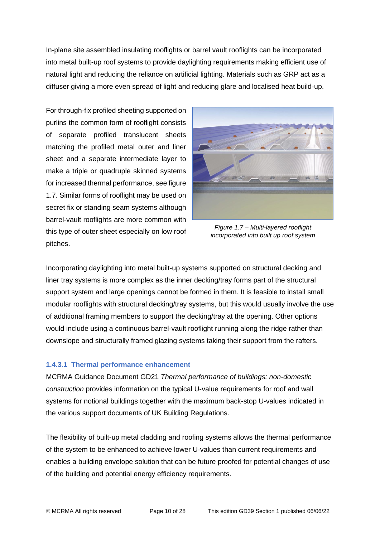In-plane site assembled insulating rooflights or barrel vault rooflights can be incorporated into metal built-up roof systems to provide daylighting requirements making efficient use of natural light and reducing the reliance on artificial lighting. Materials such as GRP act as a diffuser giving a more even spread of light and reducing glare and localised heat build-up.

For through-fix profiled sheeting supported on purlins the common form of rooflight consists of separate profiled translucent sheets matching the profiled metal outer and liner sheet and a separate intermediate layer to make a triple or quadruple skinned systems for increased thermal performance, see figure 1.7. Similar forms of rooflight may be used on secret fix or standing seam systems although barrel-vault rooflights are more common with this type of outer sheet especially on low roof pitches.



*Figure 1.7 – Multi-layered rooflight incorporated into built up roof system* 

Incorporating daylighting into metal built-up systems supported on structural decking and liner tray systems is more complex as the inner decking/tray forms part of the structural support system and large openings cannot be formed in them. It is feasible to install small modular rooflights with structural decking/tray systems, but this would usually involve the use of additional framing members to support the decking/tray at the opening. Other options would include using a continuous barrel-vault rooflight running along the ridge rather than downslope and structurally framed glazing systems taking their support from the rafters.

# **1.4.3.1 Thermal performance enhancement**

MCRMA Guidance Document GD21 *Thermal performance of buildings: non-domestic construction* provides information on the typical U-value requirements for roof and wall systems for notional buildings together with the maximum back-stop U-values indicated in the various support documents of UK Building Regulations.

The flexibility of built-up metal cladding and roofing systems allows the thermal performance of the system to be enhanced to achieve lower U-values than current requirements and enables a building envelope solution that can be future proofed for potential changes of use of the building and potential energy efficiency requirements.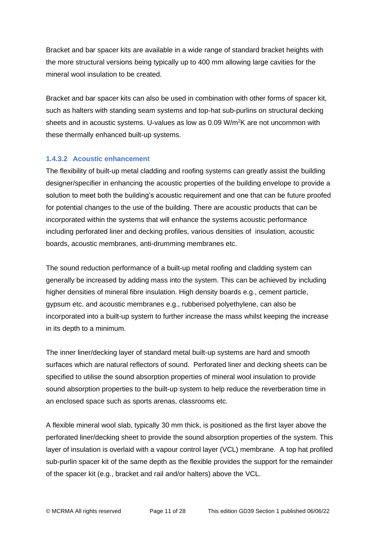Bracket and bar spacer kits are available in a wide range of standard bracket heights with the more structural versions being typically up to 400 mm allowing large cavities for the mineral wool insulation to be created.

Bracket and bar spacer kits can also be used in combination with other forms of spacer kit, such as halters with standing seam systems and top-hat sub-purlins on structural decking sheets and in acoustic systems. U-values as low as 0.09 W/m<sup>2</sup>K are not uncommon with these thermally enhanced built-up systems.

# **1.4.3.2 Acoustic enhancement**

The flexibility of built-up metal cladding and roofing systems can greatly assist the building designer/specifier in enhancing the acoustic properties of the building envelope to provide a solution to meet both the building's acoustic requirement and one that can be future proofed for potential changes to the use of the building. There are acoustic products that can be incorporated within the systems that will enhance the systems acoustic performance including perforated liner and decking profiles, various densities of insulation, acoustic boards, acoustic membranes, anti-drumming membranes etc.

The sound reduction performance of a built-up metal roofing and cladding system can generally be increased by adding mass into the system. This can be achieved by including higher densities of mineral fibre insulation. High density boards e.g., cement particle, gypsum etc. and acoustic membranes e.g., rubberised polyethylene, can also be incorporated into a built-up system to further increase the mass whilst keeping the increase in its depth to a minimum.

The inner liner/decking layer of standard metal built-up systems are hard and smooth surfaces which are natural reflectors of sound. Perforated liner and decking sheets can be specified to utilise the sound absorption properties of mineral wool insulation to provide sound absorption properties to the built-up system to help reduce the reverberation time in an enclosed space such as sports arenas, classrooms etc.

A flexible mineral wool slab, typically 30 mm thick, is positioned as the first layer above the perforated liner/decking sheet to provide the sound absorption properties of the system. This layer of insulation is overlaid with a vapour control layer (VCL) membrane. A top hat profiled sub-purlin spacer kit of the same depth as the flexible provides the support for the remainder of the spacer kit (e.g., bracket and rail and/or halters) above the VCL.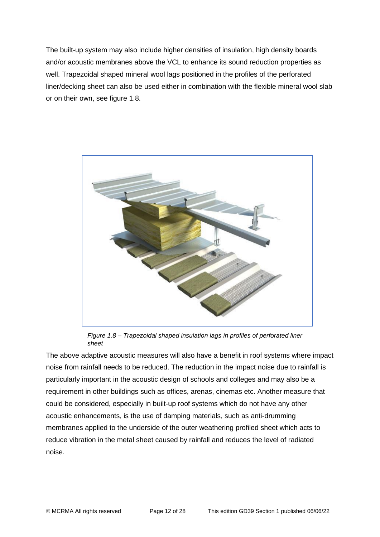The built-up system may also include higher densities of insulation, high density boards and/or acoustic membranes above the VCL to enhance its sound reduction properties as well. Trapezoidal shaped mineral wool lags positioned in the profiles of the perforated liner/decking sheet can also be used either in combination with the flexible mineral wool slab or on their own, see figure 1.8.



*Figure 1.8 – Trapezoidal shaped insulation lags in profiles of perforated liner sheet*

The above adaptive acoustic measures will also have a benefit in roof systems where impact noise from rainfall needs to be reduced. The reduction in the impact noise due to rainfall is particularly important in the acoustic design of schools and colleges and may also be a requirement in other buildings such as offices, arenas, cinemas etc. Another measure that could be considered, especially in built-up roof systems which do not have any other acoustic enhancements, is the use of damping materials, such as anti-drumming membranes applied to the underside of the outer weathering profiled sheet which acts to reduce vibration in the metal sheet caused by rainfall and reduces the level of radiated noise.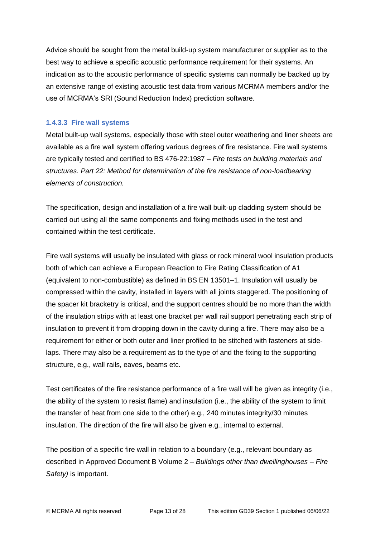Advice should be sought from the metal build-up system manufacturer or supplier as to the best way to achieve a specific acoustic performance requirement for their systems. An indication as to the acoustic performance of specific systems can normally be backed up by an extensive range of existing acoustic test data from various MCRMA members and/or the use of MCRMA's SRI (Sound Reduction Index) prediction software.

#### **1.4.3.3 Fire wall systems**

Metal built-up wall systems, especially those with steel outer weathering and liner sheets are available as a fire wall system offering various degrees of fire resistance. Fire wall systems are typically tested and certified to BS 476-22:1987 – *Fire tests on building materials and structures. Part 22: Method for determination of the fire resistance of non-loadbearing elements of construction.*

The specification, design and installation of a fire wall built-up cladding system should be carried out using all the same components and fixing methods used in the test and contained within the test certificate.

Fire wall systems will usually be insulated with glass or rock mineral wool insulation products both of which can achieve a European Reaction to Fire Rating Classification of A1 (equivalent to non-combustible) as defined in BS EN 13501–1. Insulation will usually be compressed within the cavity, installed in layers with all joints staggered. The positioning of the spacer kit bracketry is critical, and the support centres should be no more than the width of the insulation strips with at least one bracket per wall rail support penetrating each strip of insulation to prevent it from dropping down in the cavity during a fire. There may also be a requirement for either or both outer and liner profiled to be stitched with fasteners at sidelaps. There may also be a requirement as to the type of and the fixing to the supporting structure, e.g., wall rails, eaves, beams etc.

Test certificates of the fire resistance performance of a fire wall will be given as integrity (i.e., the ability of the system to resist flame) and insulation (i.e., the ability of the system to limit the transfer of heat from one side to the other) e.g., 240 minutes integrity/30 minutes insulation. The direction of the fire will also be given e.g., internal to external.

The position of a specific fire wall in relation to a boundary (e.g., relevant boundary as described in Approved Document B Volume 2 – *Buildings other than dwellinghouses – Fire Safety)* is important.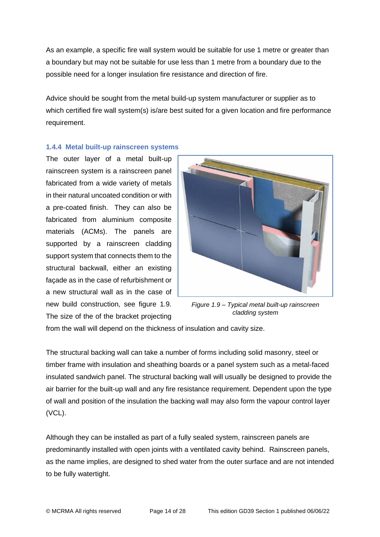As an example, a specific fire wall system would be suitable for use 1 metre or greater than a boundary but may not be suitable for use less than 1 metre from a boundary due to the possible need for a longer insulation fire resistance and direction of fire.

Advice should be sought from the metal build-up system manufacturer or supplier as to which certified fire wall system(s) is/are best suited for a given location and fire performance requirement.

# **1.4.4 Metal built-up rainscreen systems**

The outer layer of a metal built-up rainscreen system is a rainscreen panel fabricated from a wide variety of metals in their natural uncoated condition or with a pre-coated finish. They can also be fabricated from aluminium composite materials (ACMs). The panels are supported by a rainscreen cladding support system that connects them to the structural backwall, either an existing façade as in the case of refurbishment or a new structural wall as in the case of new build construction, see figure 1.9. The size of the of the bracket projecting



*Figure 1.9 – Typical metal built-up rainscreen cladding system*

from the wall will depend on the thickness of insulation and cavity size.

The structural backing wall can take a number of forms including solid masonry, steel or timber frame with insulation and sheathing boards or a panel system such as a metal-faced insulated sandwich panel. The structural backing wall will usually be designed to provide the air barrier for the built-up wall and any fire resistance requirement. Dependent upon the type of wall and position of the insulation the backing wall may also form the vapour control layer (VCL).

Although they can be installed as part of a fully sealed system, rainscreen panels are predominantly installed with open joints with a ventilated cavity behind. Rainscreen panels, as the name implies, are designed to shed water from the outer surface and are not intended to be fully watertight.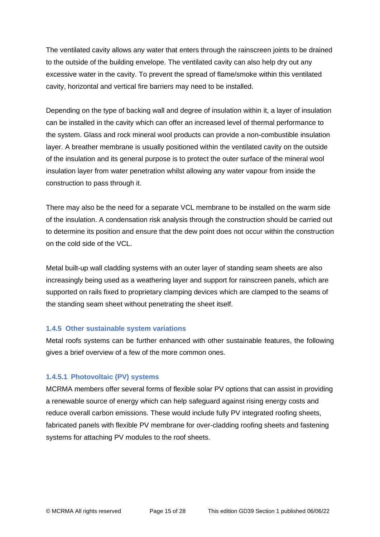The ventilated cavity allows any water that enters through the rainscreen joints to be drained to the outside of the building envelope. The ventilated cavity can also help dry out any excessive water in the cavity. To prevent the spread of flame/smoke within this ventilated cavity, horizontal and vertical fire barriers may need to be installed.

Depending on the type of backing wall and degree of insulation within it, a layer of insulation can be installed in the cavity which can offer an increased level of thermal performance to the system. Glass and rock mineral wool products can provide a non-combustible insulation layer. A breather membrane is usually positioned within the ventilated cavity on the outside of the insulation and its general purpose is to protect the outer surface of the mineral wool insulation layer from water penetration whilst allowing any water vapour from inside the construction to pass through it.

There may also be the need for a separate VCL membrane to be installed on the warm side of the insulation. A condensation risk analysis through the construction should be carried out to determine its position and ensure that the dew point does not occur within the construction on the cold side of the VCL.

Metal built-up wall cladding systems with an outer layer of standing seam sheets are also increasingly being used as a weathering layer and support for rainscreen panels, which are supported on rails fixed to proprietary clamping devices which are clamped to the seams of the standing seam sheet without penetrating the sheet itself.

#### **1.4.5 Other sustainable system variations**

Metal roofs systems can be further enhanced with other sustainable features, the following gives a brief overview of a few of the more common ones.

# **1.4.5.1 Photovoltaic (PV) systems**

MCRMA members offer several forms of flexible solar PV options that can assist in providing a renewable source of energy which can help safeguard against rising energy costs and reduce overall carbon emissions. These would include fully PV integrated roofing sheets, fabricated panels with flexible PV membrane for over-cladding roofing sheets and fastening systems for attaching PV modules to the roof sheets.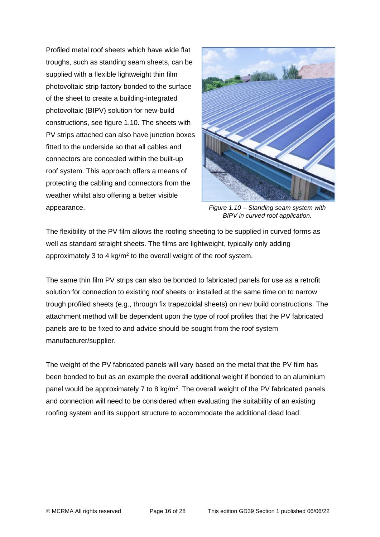Profiled metal roof sheets which have wide flat troughs, such as standing seam sheets, can be supplied with a flexible lightweight thin film photovoltaic strip factory bonded to the surface of the sheet to create a building-integrated photovoltaic (BIPV) solution for new-build constructions, see figure 1.10. The sheets with PV strips attached can also have junction boxes fitted to the underside so that all cables and connectors are concealed within the built-up roof system. This approach offers a means of protecting the cabling and connectors from the weather whilst also offering a better visible appearance.



*Figure 1.10 – Standing seam system with BIPV in curved roof application.*

The flexibility of the PV film allows the roofing sheeting to be supplied in curved forms as well as standard straight sheets. The films are lightweight, typically only adding approximately 3 to 4  $kg/m<sup>2</sup>$  to the overall weight of the roof system.

The same thin film PV strips can also be bonded to fabricated panels for use as a retrofit solution for connection to existing roof sheets or installed at the same time on to narrow trough profiled sheets (e.g., through fix trapezoidal sheets) on new build constructions. The attachment method will be dependent upon the type of roof profiles that the PV fabricated panels are to be fixed to and advice should be sought from the roof system manufacturer/supplier.

The weight of the PV fabricated panels will vary based on the metal that the PV film has been bonded to but as an example the overall additional weight if bonded to an aluminium panel would be approximately 7 to 8 kg/m<sup>2</sup>. The overall weight of the PV fabricated panels and connection will need to be considered when evaluating the suitability of an existing roofing system and its support structure to accommodate the additional dead load.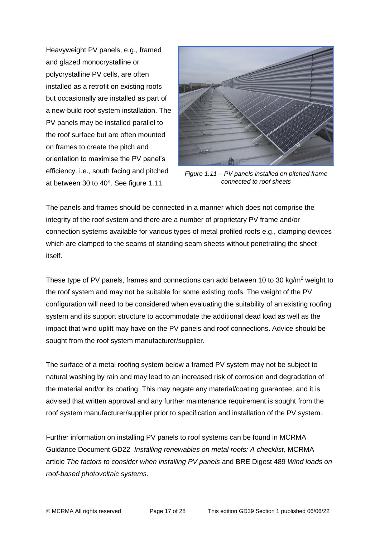Heavyweight PV panels, e.g., framed and glazed monocrystalline or polycrystalline PV cells, are often installed as a retrofit on existing roofs but occasionally are installed as part of a new-build roof system installation. The PV panels may be installed parallel to the roof surface but are often mounted on frames to create the pitch and orientation to maximise the PV panel's efficiency. i.e., south facing and pitched at between 30 to 40°. See figure 1.11.



*Figure 1.11 – PV panels installed on pitched frame connected to roof sheets*

The panels and frames should be connected in a manner which does not comprise the integrity of the roof system and there are a number of proprietary PV frame and/or connection systems available for various types of metal profiled roofs e.g., clamping devices which are clamped to the seams of standing seam sheets without penetrating the sheet itself.

These type of PV panels, frames and connections can add between 10 to 30 kg/m<sup>2</sup> weight to the roof system and may not be suitable for some existing roofs. The weight of the PV configuration will need to be considered when evaluating the suitability of an existing roofing system and its support structure to accommodate the additional dead load as well as the impact that wind uplift may have on the PV panels and roof connections. Advice should be sought from the roof system manufacturer/supplier.

The surface of a metal roofing system below a framed PV system may not be subject to natural washing by rain and may lead to an increased risk of corrosion and degradation of the material and/or its coating. This may negate any material/coating guarantee, and it is advised that written approval and any further maintenance requirement is sought from the roof system manufacturer/supplier prior to specification and installation of the PV system.

Further information on installing PV panels to roof systems can be found in MCRMA Guidance Document GD22 *Installing renewables on metal roofs: A checklist,* MCRMA article *The factors to consider when installing PV panels* and BRE Digest 489 *Wind loads on roof-based photovoltaic systems*.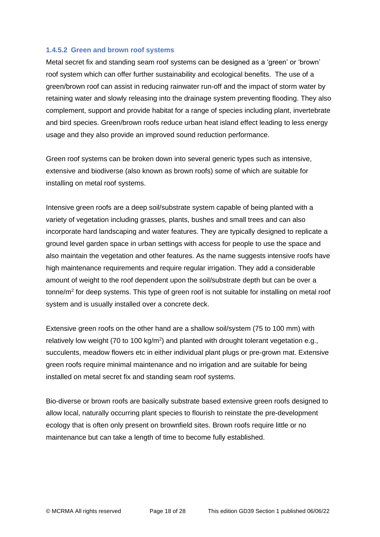#### **1.4.5.2 Green and brown roof systems**

Metal secret fix and standing seam roof systems can be designed as a 'green' or 'brown' roof system which can offer further sustainability and ecological benefits. The use of a green/brown roof can assist in reducing rainwater run-off and the impact of storm water by retaining water and slowly releasing into the drainage system preventing flooding. They also complement, support and provide habitat for a range of species including plant, invertebrate and bird species. Green/brown roofs reduce urban heat island effect leading to less energy usage and they also provide an improved sound reduction performance.

Green roof systems can be broken down into several generic types such as intensive, extensive and biodiverse (also known as brown roofs) some of which are suitable for installing on metal roof systems.

Intensive green roofs are a deep soil/substrate system capable of being planted with a variety of vegetation including grasses, plants, bushes and small trees and can also incorporate hard landscaping and water features. They are typically designed to replicate a ground level garden space in urban settings with access for people to use the space and also maintain the vegetation and other features. As the name suggests intensive roofs have high maintenance requirements and require regular irrigation. They add a considerable amount of weight to the roof dependent upon the soil/substrate depth but can be over a tonne/m<sup>2</sup> for deep systems. This type of green roof is not suitable for installing on metal roof system and is usually installed over a concrete deck.

Extensive green roofs on the other hand are a shallow soil/system (75 to 100 mm) with relatively low weight (70 to 100 kg/m<sup>2</sup>) and planted with drought tolerant vegetation e.g., succulents, meadow flowers etc in either individual plant plugs or pre-grown mat. Extensive green roofs require minimal maintenance and no irrigation and are suitable for being installed on metal secret fix and standing seam roof systems.

Bio-diverse or brown roofs are basically substrate based extensive green roofs designed to allow local, naturally occurring plant species to flourish to reinstate the pre-development ecology that is often only present on brownfield sites. Brown roofs require little or no maintenance but can take a length of time to become fully established.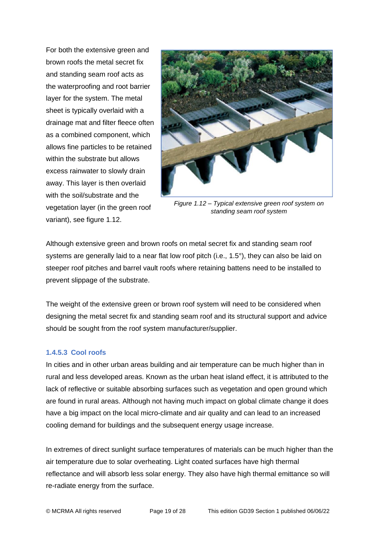For both the extensive green and brown roofs the metal secret fix and standing seam roof acts as the waterproofing and root barrier layer for the system. The metal sheet is typically overlaid with a drainage mat and filter fleece often as a combined component, which allows fine particles to be retained within the substrate but allows excess rainwater to slowly drain away. This layer is then overlaid with the soil/substrate and the vegetation layer (in the green roof variant), see figure 1.12.



*Figure 1.12 – Typical extensive green roof system on standing seam roof system*

Although extensive green and brown roofs on metal secret fix and standing seam roof systems are generally laid to a near flat low roof pitch (i.e., 1.5°), they can also be laid on steeper roof pitches and barrel vault roofs where retaining battens need to be installed to prevent slippage of the substrate.

The weight of the extensive green or brown roof system will need to be considered when designing the metal secret fix and standing seam roof and its structural support and advice should be sought from the roof system manufacturer/supplier.

#### **1.4.5.3 Cool roofs**

In cities and in other urban areas building and air temperature can be much higher than in rural and less developed areas. Known as the urban heat island effect, it is attributed to the lack of reflective or suitable absorbing surfaces such as vegetation and open ground which are found in rural areas. Although not having much impact on global climate change it does have a big impact on the local micro-climate and air quality and can lead to an increased cooling demand for buildings and the subsequent energy usage increase.

In extremes of direct sunlight surface temperatures of materials can be much higher than the air temperature due to solar overheating. Light coated surfaces have high thermal reflectance and will absorb less solar energy. They also have high thermal emittance so will re-radiate energy from the surface.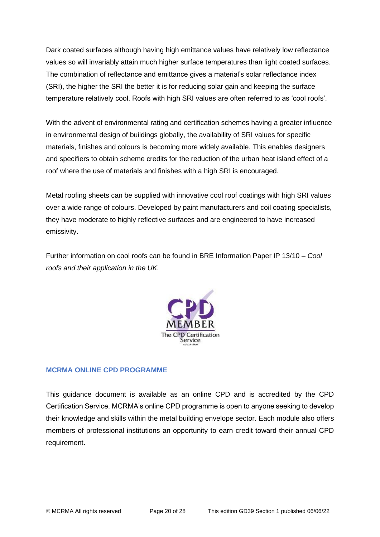Dark coated surfaces although having high emittance values have relatively low reflectance values so will invariably attain much higher surface temperatures than light coated surfaces. The combination of reflectance and emittance gives a material's solar reflectance index (SRI), the higher the SRI the better it is for reducing solar gain and keeping the surface temperature relatively cool. Roofs with high SRI values are often referred to as 'cool roofs'.

With the advent of environmental rating and certification schemes having a greater influence in environmental design of buildings globally, the availability of SRI values for specific materials, finishes and colours is becoming more widely available. This enables designers and specifiers to obtain scheme credits for the reduction of the urban heat island effect of a roof where the use of materials and finishes with a high SRI is encouraged.

Metal roofing sheets can be supplied with innovative cool roof coatings with high SRI values over a wide range of colours. Developed by paint manufacturers and coil coating specialists, they have moderate to highly reflective surfaces and are engineered to have increased emissivity.

Further information on cool roofs can be found in BRE Information Paper IP 13/10 – *Cool roofs and their application in the UK.*



# **MCRMA ONLINE CPD PROGRAMME**

This guidance document is available as an online CPD and is accredited by the CPD Certification Service. MCRMA's online CPD programme is open to anyone seeking to develop their knowledge and skills within the metal building envelope sector. Each module also offers members of professional institutions an opportunity to earn credit toward their annual CPD requirement.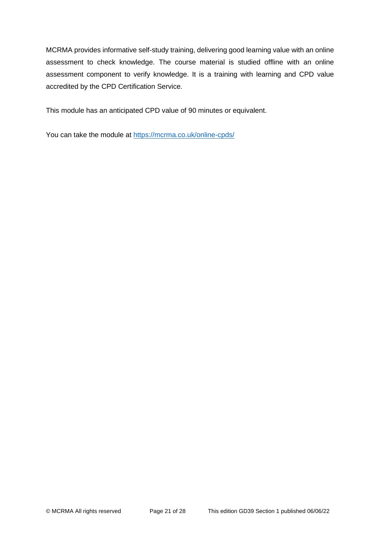MCRMA provides informative self-study training, delivering good learning value with an online assessment to check knowledge. The course material is studied offline with an online assessment component to verify knowledge. It is a training with learning and CPD value accredited by the CPD Certification Service.

This module has an anticipated CPD value of 90 minutes or equivalent.

You can take the module at<https://mcrma.co.uk/online-cpds/>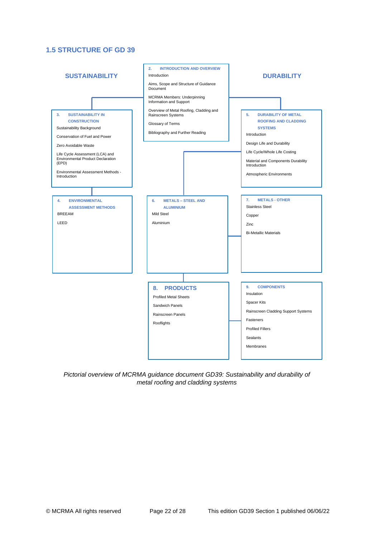# **1.5 STRUCTURE OF GD 39**



*Pictorial overview of MCRMA guidance document GD39: Sustainability and durability of metal roofing and cladding systems*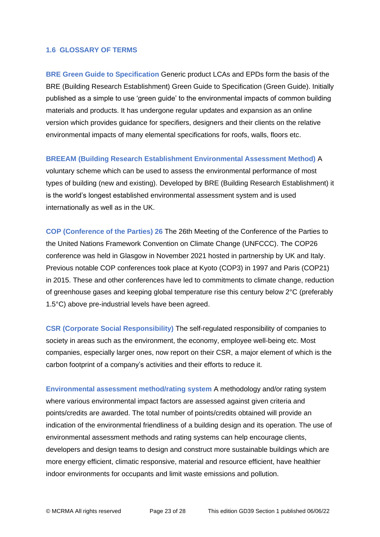#### **1.6 GLOSSARY OF TERMS**

**BRE Green Guide to Specification** Generic product LCAs and EPDs form the basis of the BRE (Building Research Establishment) Green Guide to Specification (Green Guide). Initially published as a simple to use 'green guide' to the environmental impacts of common building materials and products. It has undergone regular updates and expansion as an online version which provides guidance for specifiers, designers and their clients on the relative environmental impacts of many elemental specifications for roofs, walls, floors etc.

#### **BREEAM (Building Research Establishment Environmental Assessment Method)** A

voluntary scheme which can be used to assess the environmental performance of most types of building (new and existing). Developed by BRE (Building Research Establishment) it is the world's longest established environmental assessment system and is used internationally as well as in the UK.

**COP (Conference of the Parties) 26** The 26th Meeting of the Conference of the Parties to the United Nations Framework Convention on Climate Change (UNFCCC). The COP26 conference was held in Glasgow in November 2021 hosted in partnership by UK and Italy. Previous notable COP conferences took place at Kyoto (COP3) in 1997 and Paris (COP21) in 2015. These and other conferences have led to commitments to climate change, reduction of greenhouse gases and keeping global temperature rise this century below 2°C (preferably 1.5°C) above pre-industrial levels have been agreed.

**CSR (Corporate Social Responsibility)** The self-regulated responsibility of companies to society in areas such as the environment, the economy, employee well-being etc. Most companies, especially larger ones, now report on their CSR, a major element of which is the carbon footprint of a company's activities and their efforts to reduce it.

**Environmental assessment method/rating system** A methodology and/or rating system where various environmental impact factors are assessed against given criteria and points/credits are awarded. The total number of points/credits obtained will provide an indication of the environmental friendliness of a building design and its operation. The use of environmental assessment methods and rating systems can help encourage clients, developers and design teams to design and construct more sustainable buildings which are more energy efficient, climatic responsive, material and resource efficient, have healthier indoor environments for occupants and limit waste emissions and pollution.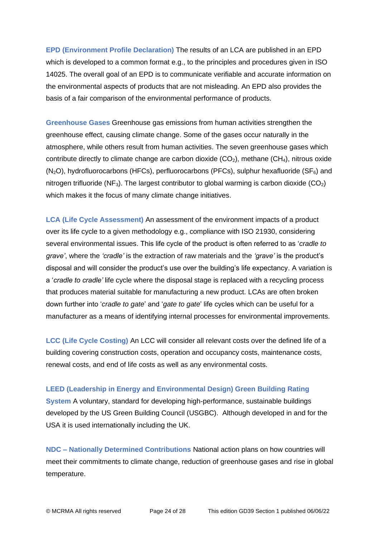**EPD (Environment Profile Declaration)** The results of an LCA are published in an EPD which is developed to a common format e.g., to the principles and procedures given in ISO 14025. The overall goal of an EPD is to communicate verifiable and accurate information on the environmental aspects of products that are not misleading. An EPD also provides the basis of a fair comparison of the environmental performance of products.

**Greenhouse Gases** Greenhouse gas emissions from human activities strengthen the greenhouse effect, causing climate change. Some of the gases occur naturally in the atmosphere, while others result from human activities. The seven greenhouse gases which contribute directly to climate change are carbon dioxide  $(CO<sub>2</sub>)$ , methane  $(CH<sub>4</sub>)$ , nitrous oxide  $(N<sub>2</sub>O)$ , hydrofluorocarbons (HFCs), perfluorocarbons (PFCs), sulphur hexafluoride (SF $_6$ ) and nitrogen trifluoride (NF<sub>3</sub>). The largest contributor to global warming is carbon dioxide (CO<sub>2</sub>) which makes it the focus of many climate change initiatives.

**LCA (Life Cycle Assessment)** An assessment of the environment impacts of a product over its life cycle to a given methodology e.g., compliance with ISO 21930, considering several environmental issues. This life cycle of the product is often referred to as '*cradle to grave'*, where the *'cradle'* is the extraction of raw materials and the *'grave'* is the product's disposal and will consider the product's use over the building's life expectancy. A variation is a '*cradle to cradle'* life cycle where the disposal stage is replaced with a recycling process that produces material suitable for manufacturing a new product. LCAs are often broken down further into '*cradle to gate*' and '*gate to gate*' life cycles which can be useful for a manufacturer as a means of identifying internal processes for environmental improvements.

**LCC (Life Cycle Costing)** An LCC will consider all relevant costs over the defined life of a building covering construction costs, operation and occupancy costs, maintenance costs, renewal costs, and end of life costs as well as any environmental costs.

#### **LEED (Leadership in Energy and Environmental Design) Green Building Rating**

**System** A voluntary, standard for developing high-performance, sustainable buildings developed by the US Green Building Council (USGBC). Although developed in and for the USA it is used internationally including the UK.

**NDC – Nationally Determined Contributions** National action plans on how countries will meet their commitments to climate change, reduction of greenhouse gases and rise in global temperature.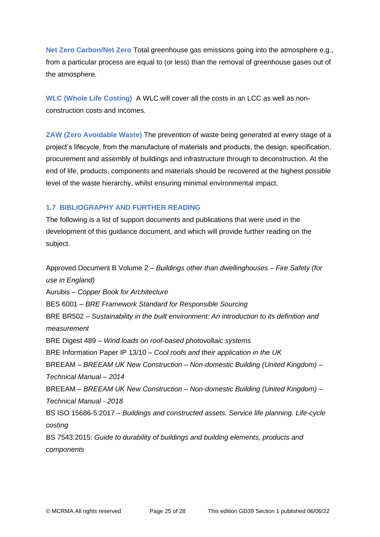**Net Zero Carbon/Net Zero** Total greenhouse gas emissions going into the atmosphere e.g., from a particular process are equal to (or less) than the removal of greenhouse gases out of the atmosphere.

**WLC (Whole Life Costing)** A WLC will cover all the costs in an LCC as well as nonconstruction costs and incomes.

**ZAW (Zero Avoidable Waste)** The prevention of waste being generated at every stage of a project's lifecycle, from the manufacture of materials and products, the design, specification, procurement and assembly of buildings and infrastructure through to deconstruction. At the end of life, products, components and materials should be recovered at the highest possible level of the waste hierarchy, whilst ensuring minimal environmental impact.

# **1.7 BIBLIOGRAPHY AND FURTHER READING**

The following is a list of support documents and publications that were used in the development of this guidance document, and which will provide further reading on the subject.

Approved Document B Volume 2 – *Buildings other than dwellinghouses – Fire Safety (for use in England)* Aurubis – *Copper Book for Architecture* BES 6001 – *BRE Framework Standard for Responsible Sourcing* BRE BR502 – *Sustainability in the built environment: An introduction to its definition and measurement* BRE Digest 489 – *Wind loads on roof-based photovoltaic systems* BRE Information Paper IP 13/10 – *Cool roofs and their application in the UK* BREEAM – *BREEAM UK New Construction – Non-domestic Building (United Kingdom) – Technical Manual – 2014* BREEAM – *BREEAM UK New Construction – Non-domestic Building (United Kingdom) – Technical Manual - 2018* BS ISO 15686-5:2017 – *Buildings and constructed assets. Service life planning. Life-cycle costing* BS 7543:2015: *Guide to durability of buildings and building elements, products and components*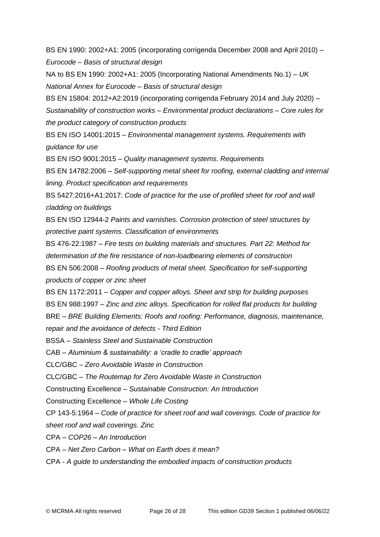BS EN 1990: 2002+A1: 2005 (incorporating corrigenda December 2008 and April 2010) – *Eurocode – Basis of structural design*

NA to BS EN 1990: 2002+A1: 2005 (Incorporating National Amendments No.1) – *UK National Annex for Eurocode – Basis of structural design*

BS EN 15804: 2012+A2:2019 (incorporating corrigenda February 2014 and July 2020) –

*Sustainability of construction works – Environmental product declarations – Core rules for the product category of construction products*

BS EN ISO 14001:2015 – *Environmental management systems. Requirements with guidance for use*

BS EN ISO 9001:2015 – *Quality management systems. Requirements*

BS EN 14782:2006 – *Self-supporting metal sheet for roofing, external cladding and internal lining. Product specification and requirements*

BS 5427:2016+A1:2017: *Code of practice for the use of profiled sheet for roof and wall cladding on buildings*

BS EN ISO 12944-2 *Paints and varnishes. Corrosion protection of steel structures by protective paint systems. Classification of environments*

BS 476-22:1987 – *Fire tests on building materials and structures. Part 22: Method for determination of the fire resistance of non-loadbearing elements of construction* BS EN 506:2008 – *Roofing products of metal sheet. Specification for self-supporting* 

*products of copper or zinc sheet*

BS EN 1172:2011 *– Copper and copper alloys. Sheet and strip for building purposes*

BS EN 988:1997 – *Zinc and zinc alloys. Specification for rolled flat products for building*

BRE – *BRE Building Elements: Roofs and roofing: Performance, diagnosis, maintenance, repair and the avoidance of defects - Third Edition*

BSSA – *Stainless Steel and Sustainable Construction*

CAB *– Aluminium & sustainability: a 'cradle to cradle' approach*

CLC/GBC – *Zero Avoidable Waste in Construction*

CLC/GBC – *The Routemap for Zero Avoidable Waste in Construction*

Constructing Excellence – *Sustainable Construction: An Introduction*

Constructing Excellence – *Whole Life Costing*

CP 143-5:1964 – *Code of practice for sheet roof and wall coverings. Code of practice for sheet roof and wall coverings. Zinc*

CPA – *COP26 – An Introduction*

CPA – *Net Zero Carbon – What on Earth does it mean?*

CPA - *A guide to understanding the embodied impacts of construction products*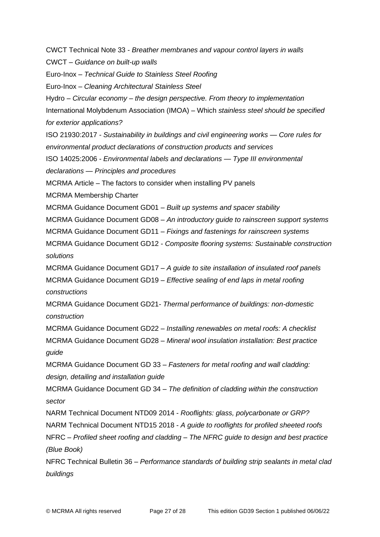CWCT Technical Note 33 - *Breather membranes and vapour control layers in walls* CWCT – *Guidance on built-up walls* Euro-Inox – *Technical Guide to Stainless Steel Roofing* Euro-Inox – *Cleaning Architectural Stainless Steel* Hydro – *Circular economy – the design perspective. From theory to implementation* International Molybdenum Association (IMOA) – Which *stainless steel should be specified for exterior applications?* ISO 21930:2017 *- Sustainability in buildings and civil engineering works — Core rules for environmental product declarations of construction products and services* ISO 14025:2006 *- Environmental labels and declarations — Type III environmental declarations — Principles and procedures* MCRMA Article – The factors to consider when installing PV panels MCRMA Membership Charter MCRMA Guidance Document GD01 – *Built up systems and spacer stability* MCRMA Guidance Document GD08 – *An introductory guide to rainscreen support systems* MCRMA Guidance Document GD11 – *Fixings and fastenings for rainscreen systems* MCRMA Guidance Document GD12 - *Composite flooring systems: Sustainable construction solutions* MCRMA Guidance Document GD17 – *A guide to site installation of insulated roof panels* MCRMA Guidance Document GD19 – *Effective sealing of end laps in metal roofing constructions* MCRMA Guidance Document GD21*- Thermal performance of buildings: non-domestic construction* MCRMA Guidance Document GD22 – *Installing renewables on metal roofs: A checklist*  MCRMA Guidance Document GD28 – *Mineral wool insulation installation: Best practice guide*  MCRMA Guidance Document GD 33 – *Fasteners for metal roofing and wall cladding: design, detailing and installation guide* MCRMA Guidance Document GD 34 – *The definition of cladding within the construction sector* NARM Technical Document NTD09 2014 - *Rooflights: glass, polycarbonate or GRP?* NARM Technical Document NTD15 2018 - *A guide to rooflights for profiled sheeted roofs* NFRC – *Profiled sheet roofing and cladding – The NFRC guide to design and best practice (Blue Book)* NFRC Technical Bulletin 36 – *Performance standards of building strip sealants in metal clad buildings*